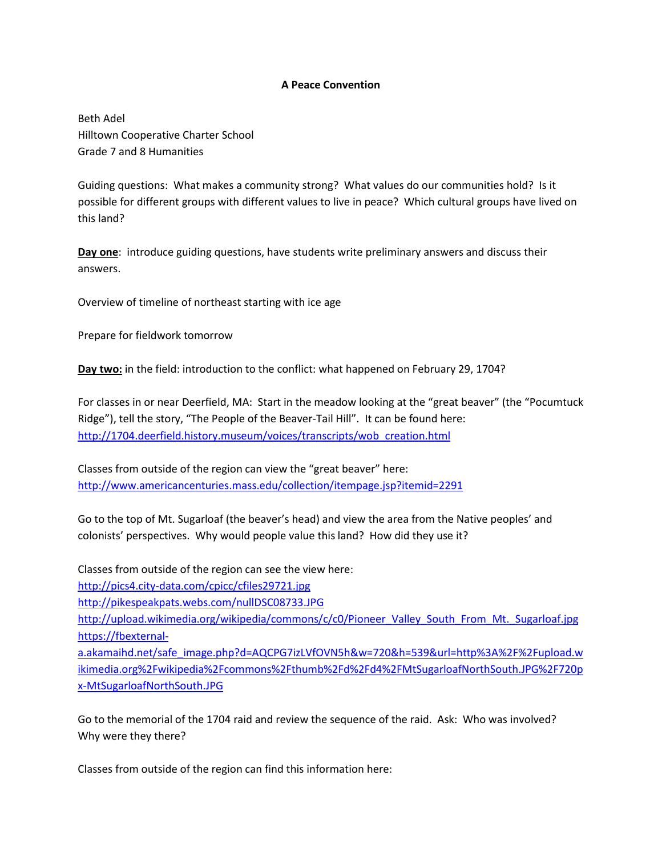## **A Peace Convention**

Beth Adel Hilltown Cooperative Charter School Grade 7 and 8 Humanities

Guiding questions: What makes a community strong? What values do our communities hold? Is it possible for different groups with different values to live in peace? Which cultural groups have lived on this land?

**Day one**: introduce guiding questions, have students write preliminary answers and discuss their answers.

Overview of timeline of northeast starting with ice age

Prepare for fieldwork tomorrow

**Day two:** in the field: introduction to the conflict: what happened on February 29, 1704?

For classes in or near Deerfield, MA: Start in the meadow looking at the "great beaver" (the "Pocumtuck Ridge"), tell the story, "The People of the Beaver-Tail Hill". It can be found here: [http://1704.deerfield.history.museum/voices/transcripts/wob\\_creation.html](http://1704.deerfield.history.museum/voices/transcripts/wob_creation.html)

Classes from outside of the region can view the "great beaver" here: <http://www.americancenturies.mass.edu/collection/itempage.jsp?itemid=2291>

Go to the top of Mt. Sugarloaf (the beaver's head) and view the area from the Native peoples' and colonists' perspectives. Why would people value this land? How did they use it?

Classes from outside of the region can see the view here:

<http://pics4.city-data.com/cpicc/cfiles29721.jpg>

<http://pikespeakpats.webs.com/nullDSC08733.JPG>

[http://upload.wikimedia.org/wikipedia/commons/c/c0/Pioneer\\_Valley\\_South\\_From\\_Mt.\\_Sugarloaf.jpg](http://upload.wikimedia.org/wikipedia/commons/c/c0/Pioneer_Valley_South_From_Mt._Sugarloaf.jpg) [https://fbexternal-](https://fbexternal-a.akamaihd.net/safe_image.php?d=AQCPG7izLVfOVN5h&w=720&h=539&url=http%3A%2F%2Fupload.wikimedia.org%2Fwikipedia%2Fcommons%2Fthumb%2Fd%2Fd4%2FMtSugarloafNorthSouth.JPG%2F720px-MtSugarloafNorthSouth.JPG)

[a.akamaihd.net/safe\\_image.php?d=AQCPG7izLVfOVN5h&w=720&h=539&url=http%3A%2F%2Fupload.w](https://fbexternal-a.akamaihd.net/safe_image.php?d=AQCPG7izLVfOVN5h&w=720&h=539&url=http%3A%2F%2Fupload.wikimedia.org%2Fwikipedia%2Fcommons%2Fthumb%2Fd%2Fd4%2FMtSugarloafNorthSouth.JPG%2F720px-MtSugarloafNorthSouth.JPG) [ikimedia.org%2Fwikipedia%2Fcommons%2Fthumb%2Fd%2Fd4%2FMtSugarloafNorthSouth.JPG%2F720p](https://fbexternal-a.akamaihd.net/safe_image.php?d=AQCPG7izLVfOVN5h&w=720&h=539&url=http%3A%2F%2Fupload.wikimedia.org%2Fwikipedia%2Fcommons%2Fthumb%2Fd%2Fd4%2FMtSugarloafNorthSouth.JPG%2F720px-MtSugarloafNorthSouth.JPG) [x-MtSugarloafNorthSouth.JPG](https://fbexternal-a.akamaihd.net/safe_image.php?d=AQCPG7izLVfOVN5h&w=720&h=539&url=http%3A%2F%2Fupload.wikimedia.org%2Fwikipedia%2Fcommons%2Fthumb%2Fd%2Fd4%2FMtSugarloafNorthSouth.JPG%2F720px-MtSugarloafNorthSouth.JPG)

Go to the memorial of the 1704 raid and review the sequence of the raid. Ask: Who was involved? Why were they there?

Classes from outside of the region can find this information here: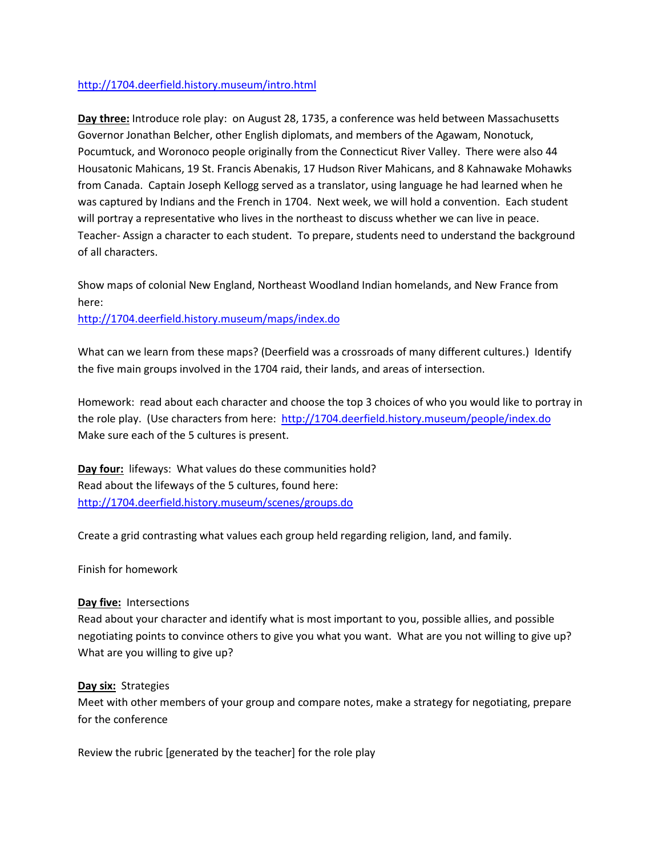## <http://1704.deerfield.history.museum/intro.html>

**Day three:** Introduce role play: on August 28, 1735, a conference was held between Massachusetts Governor Jonathan Belcher, other English diplomats, and members of the Agawam, Nonotuck, Pocumtuck, and Woronoco people originally from the Connecticut River Valley. There were also 44 Housatonic Mahicans, 19 St. Francis Abenakis, 17 Hudson River Mahicans, and 8 Kahnawake Mohawks from Canada. Captain Joseph Kellogg served as a translator, using language he had learned when he was captured by Indians and the French in 1704. Next week, we will hold a convention. Each student will portray a representative who lives in the northeast to discuss whether we can live in peace. Teacher- Assign a character to each student. To prepare, students need to understand the background of all characters.

Show maps of colonial New England, Northeast Woodland Indian homelands, and New France from here:

<http://1704.deerfield.history.museum/maps/index.do>

What can we learn from these maps? (Deerfield was a crossroads of many different cultures.) Identify the five main groups involved in the 1704 raid, their lands, and areas of intersection.

Homework: read about each character and choose the top 3 choices of who you would like to portray in the role play. (Use characters from here:<http://1704.deerfield.history.museum/people/index.do> Make sure each of the 5 cultures is present.

**Day four:** lifeways: What values do these communities hold? Read about the lifeways of the 5 cultures, found here: <http://1704.deerfield.history.museum/scenes/groups.do>

Create a grid contrasting what values each group held regarding religion, land, and family.

Finish for homework

## **Day five:** Intersections

Read about your character and identify what is most important to you, possible allies, and possible negotiating points to convince others to give you what you want. What are you not willing to give up? What are you willing to give up?

## **Day six:** Strategies

Meet with other members of your group and compare notes, make a strategy for negotiating, prepare for the conference

Review the rubric [generated by the teacher] for the role play